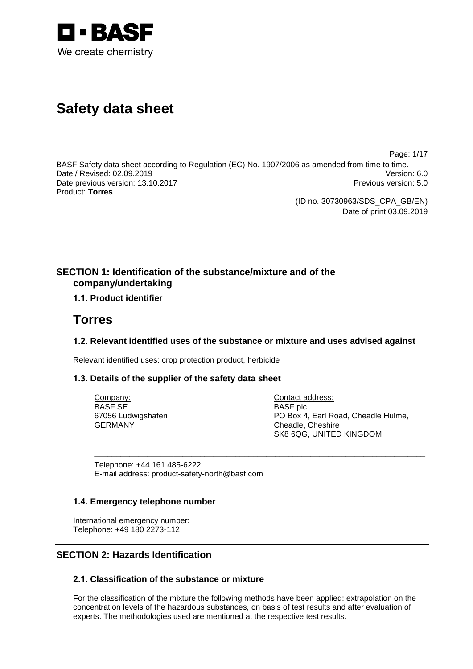

# **Safety data sheet**

Page: 1/17

BASF Safety data sheet according to Regulation (EC) No. 1907/2006 as amended from time to time.<br>Date / Revised: 02.09.2019 Date / Revised: 02.09.2019 Date previous version: 13.10.2017 **Previous version: 5.0 Previous version: 5.0** Product: **Torres**

(ID no. 30730963/SDS\_CPA\_GB/EN)

Date of print 03.09.2019

# **SECTION 1: Identification of the substance/mixture and of the company/undertaking**

# **1.1. Product identifier**

# **Torres**

# **1.2. Relevant identified uses of the substance or mixture and uses advised against**

\_\_\_\_\_\_\_\_\_\_\_\_\_\_\_\_\_\_\_\_\_\_\_\_\_\_\_\_\_\_\_\_\_\_\_\_\_\_\_\_\_\_\_\_\_\_\_\_\_\_\_\_\_\_\_\_\_\_\_\_\_\_\_\_\_\_\_\_\_\_\_\_\_\_\_

Relevant identified uses: crop protection product, herbicide

# **1.3. Details of the supplier of the safety data sheet**

Company: BASF SE 67056 Ludwigshafen GERMANY

Contact address: BASF plc PO Box 4, Earl Road, Cheadle Hulme, Cheadle, Cheshire SK8 6QG, UNITED KINGDOM

Telephone: +44 161 485-6222 E-mail address: product-safety-north@basf.com

# **1.4. Emergency telephone number**

International emergency number: Telephone: +49 180 2273-112

# **SECTION 2: Hazards Identification**

# **2.1. Classification of the substance or mixture**

For the classification of the mixture the following methods have been applied: extrapolation on the concentration levels of the hazardous substances, on basis of test results and after evaluation of experts. The methodologies used are mentioned at the respective test results.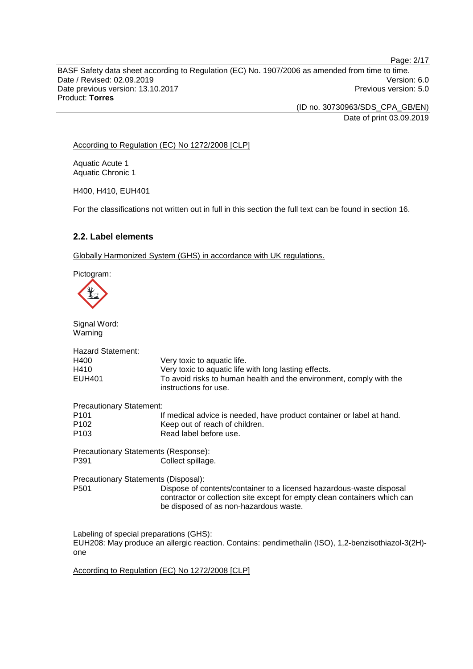BASF Safety data sheet according to Regulation (EC) No. 1907/2006 as amended from time to time. Date / Revised: 02.09.2019 Version: 6.0 Date previous version: 13.10.2017 **Previous version: 5.0 Previous version: 5.0** Product: **Torres**

> (ID no. 30730963/SDS\_CPA\_GB/EN) Date of print 03.09.2019

According to Regulation (EC) No 1272/2008 [CLP]

Aquatic Acute 1 Aquatic Chronic 1

H400, H410, EUH401

For the classifications not written out in full in this section the full text can be found in section 16.

# **2.2. Label elements**

Globally Harmonized System (GHS) in accordance with UK regulations.

Pictogram:



one

Signal Word: Warning Hazard Statement:<br>H400 H400 Very toxic to aquatic life.<br>H410 Very toxic to aquatic life H410 Very toxic to aquatic life with long lasting effects.<br>EUH401 To avoid risks to human health and the environm To avoid risks to human health and the environment, comply with the instructions for use. Precautionary Statement:<br><sup>11</sup> P101 If medical advice is needed, have product container or label at hand.<br>P102 Seep out of reach of children. P102 Keep out of reach of children.<br>P103 Read label before use Read label before use. Precautionary Statements (Response): P391 Collect spillage. Precautionary Statements (Disposal): P501 Dispose of contents/container to a licensed hazardous-waste disposal contractor or collection site except for empty clean containers which can be disposed of as non-hazardous waste. Labeling of special preparations (GHS): EUH208: May produce an allergic reaction. Contains: pendimethalin (ISO), 1,2-benzisothiazol-3(2H)-

According to Regulation (EC) No 1272/2008 [CLP]

Page: 2/17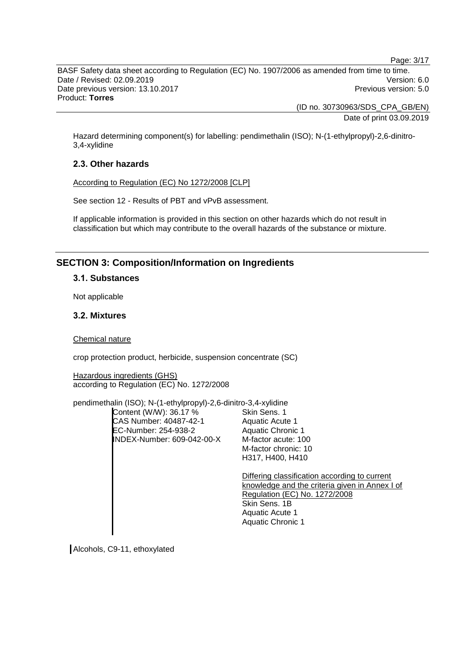Page: 3/17

BASF Safety data sheet according to Regulation (EC) No. 1907/2006 as amended from time to time. Date / Revised: 02.09.2019 Version: 6.0 Date previous version: 13.10.2017 **Previous version: 5.0 Previous version: 5.0** Product: **Torres**

> (ID no. 30730963/SDS\_CPA\_GB/EN) Date of print 03.09.2019

Hazard determining component(s) for labelling: pendimethalin (ISO); N-(1-ethylpropyl)-2,6-dinitro-3,4-xylidine

# **2.3. Other hazards**

According to Regulation (EC) No 1272/2008 [CLP]

See section 12 - Results of PBT and vPvB assessment.

If applicable information is provided in this section on other hazards which do not result in classification but which may contribute to the overall hazards of the substance or mixture.

# **SECTION 3: Composition/Information on Ingredients**

### **3.1. Substances**

Not applicable

# **3.2. Mixtures**

Chemical nature

crop protection product, herbicide, suspension concentrate (SC)

Hazardous ingredients (GHS) according to Regulation (EC) No. 1272/2008

pendimethalin (ISO); N-(1-ethylpropyl)-2,6-dinitro-3,4-xylidine

Content (W/W): 36.17 % CAS Number: 40487-42-1 EC-Number: 254-938-2 INDEX-Number: 609-042-00-X

Skin Sens. 1 Aquatic Acute 1 Aquatic Chronic 1 M-factor acute: 100 M-factor chronic: 10 H317, H400, H410

Differing classification according to current knowledge and the criteria given in Annex I of Regulation (EC) No. 1272/2008 Skin Sens. 1B Aquatic Acute 1 Aquatic Chronic 1

Alcohols, C9-11, ethoxylated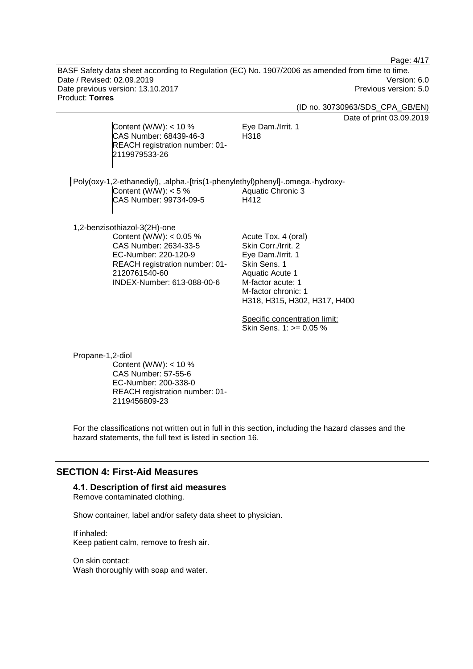Page: 4/17

BASF Safety data sheet according to Regulation (EC) No. 1907/2006 as amended from time to time. Date / Revised: 02.09.2019 Version: 6.0 Date previous version: 13.10.2017 **Previous version: 5.0 Previous version: 5.0** Product: **Torres**

(ID no. 30730963/SDS\_CPA\_GB/EN)

Date of print 03.09.2019

Content (W/W):  $<$  10 % CAS Number: 68439-46-3 REACH registration number: 01- 2119979533-26

Eye Dam./Irrit. 1 H318

Poly(oxy-1,2-ethanediyl), .alpha.-[tris(1-phenylethyl)phenyl]-.omega.-hydroxy-Content (W/W):  $< 5 \%$ CAS Number: 99734-09-5 Aquatic Chronic 3 H412

1,2-benzisothiazol-3(2H)-one Content (W/W): < 0.05 % CAS Number: 2634-33-5 EC-Number: 220-120-9 REACH registration number: 01- 2120761540-60 INDEX-Number: 613-088-00-6

Acute Tox. 4 (oral) Skin Corr./Irrit. 2 Eye Dam./Irrit. 1 Skin Sens. 1 Aquatic Acute 1 M-factor acute: 1 M-factor chronic: 1 H318, H315, H302, H317, H400

Specific concentration limit: Skin Sens. 1: >= 0.05 %

Propane-1,2-diol Content (W/W):  $<$  10 % CAS Number: 57-55-6 EC-Number: 200-338-0 REACH registration number: 01- 2119456809-23

For the classifications not written out in full in this section, including the hazard classes and the hazard statements, the full text is listed in section 16.

# **SECTION 4: First-Aid Measures**

# **4.1. Description of first aid measures**

Remove contaminated clothing.

Show container, label and/or safety data sheet to physician.

If inhaled: Keep patient calm, remove to fresh air.

On skin contact: Wash thoroughly with soap and water.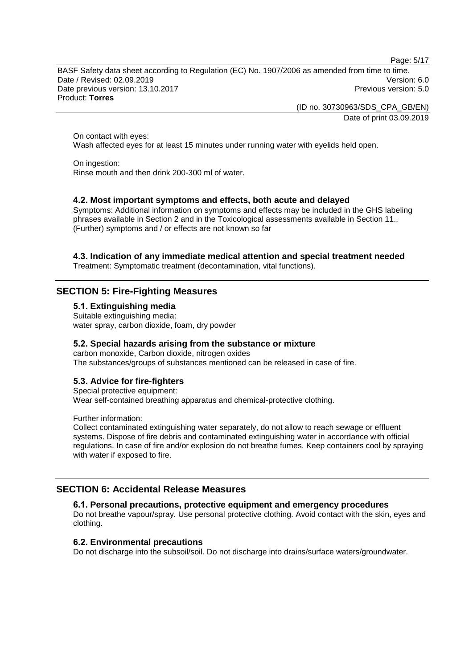Page: 5/17

BASF Safety data sheet according to Regulation (EC) No. 1907/2006 as amended from time to time. Date / Revised: 02.09.2019 Version: 6.0 Date previous version: 13.10.2017 **Previous version: 5.0 Previous version: 5.0** Product: **Torres**

> (ID no. 30730963/SDS\_CPA\_GB/EN) Date of print 03.09.2019

On contact with eyes: Wash affected eyes for at least 15 minutes under running water with eyelids held open.

On ingestion: Rinse mouth and then drink 200-300 ml of water.

# **4.2. Most important symptoms and effects, both acute and delayed**

Symptoms: Additional information on symptoms and effects may be included in the GHS labeling phrases available in Section 2 and in the Toxicological assessments available in Section 11., (Further) symptoms and / or effects are not known so far

# **4.3. Indication of any immediate medical attention and special treatment needed**

Treatment: Symptomatic treatment (decontamination, vital functions).

# **SECTION 5: Fire-Fighting Measures**

**5.1. Extinguishing media**

Suitable extinguishing media: water spray, carbon dioxide, foam, dry powder

### **5.2. Special hazards arising from the substance or mixture**

carbon monoxide, Carbon dioxide, nitrogen oxides The substances/groups of substances mentioned can be released in case of fire.

# **5.3. Advice for fire-fighters**

Special protective equipment: Wear self-contained breathing apparatus and chemical-protective clothing.

Further information:

Collect contaminated extinguishing water separately, do not allow to reach sewage or effluent systems. Dispose of fire debris and contaminated extinguishing water in accordance with official regulations. In case of fire and/or explosion do not breathe fumes. Keep containers cool by spraying with water if exposed to fire.

# **SECTION 6: Accidental Release Measures**

#### **6.1. Personal precautions, protective equipment and emergency procedures**

Do not breathe vapour/spray. Use personal protective clothing. Avoid contact with the skin, eyes and clothing.

# **6.2. Environmental precautions**

Do not discharge into the subsoil/soil. Do not discharge into drains/surface waters/groundwater.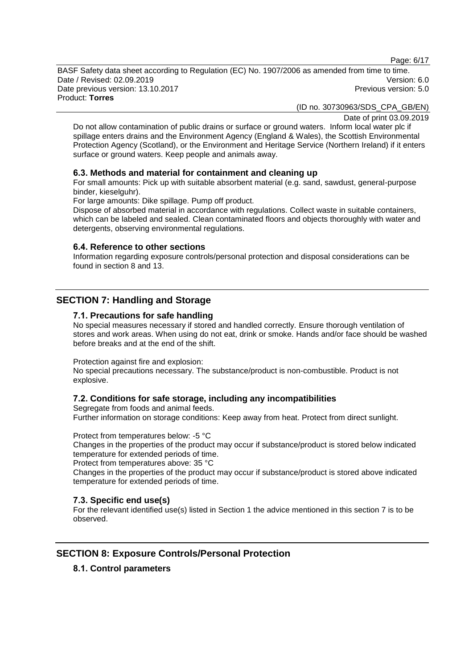Page: 6/17

BASF Safety data sheet according to Regulation (EC) No. 1907/2006 as amended from time to time. Date / Revised: 02.09.2019 Version: 6.0 Date previous version: 13.10.2017 **Previous version: 5.0 Previous version: 5.0** Product: **Torres**

(ID no. 30730963/SDS\_CPA\_GB/EN)

Date of print 03.09.2019

Do not allow contamination of public drains or surface or ground waters. Inform local water plc if spillage enters drains and the Environment Agency (England & Wales), the Scottish Environmental Protection Agency (Scotland), or the Environment and Heritage Service (Northern Ireland) if it enters surface or ground waters. Keep people and animals away.

### **6.3. Methods and material for containment and cleaning up**

For small amounts: Pick up with suitable absorbent material (e.g. sand, sawdust, general-purpose binder, kieselguhr).

For large amounts: Dike spillage. Pump off product.

Dispose of absorbed material in accordance with regulations. Collect waste in suitable containers, which can be labeled and sealed. Clean contaminated floors and objects thoroughly with water and detergents, observing environmental regulations.

#### **6.4. Reference to other sections**

Information regarding exposure controls/personal protection and disposal considerations can be found in section 8 and 13.

# **SECTION 7: Handling and Storage**

#### **7.1. Precautions for safe handling**

No special measures necessary if stored and handled correctly. Ensure thorough ventilation of stores and work areas. When using do not eat, drink or smoke. Hands and/or face should be washed before breaks and at the end of the shift.

Protection against fire and explosion:

No special precautions necessary. The substance/product is non-combustible. Product is not explosive.

### **7.2. Conditions for safe storage, including any incompatibilities**

Segregate from foods and animal feeds. Further information on storage conditions: Keep away from heat. Protect from direct sunlight.

Protect from temperatures below: -5 °C

Changes in the properties of the product may occur if substance/product is stored below indicated temperature for extended periods of time.

Protect from temperatures above: 35 °C

Changes in the properties of the product may occur if substance/product is stored above indicated temperature for extended periods of time.

### **7.3. Specific end use(s)**

For the relevant identified use(s) listed in Section 1 the advice mentioned in this section 7 is to be observed.

# **SECTION 8: Exposure Controls/Personal Protection**

#### **8.1. Control parameters**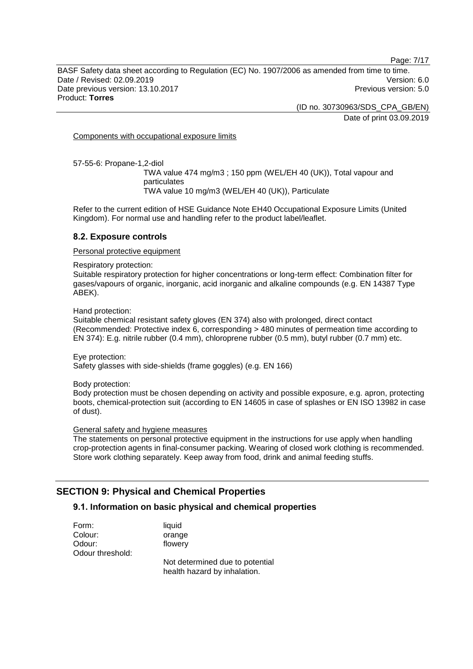Page: 7/17

BASF Safety data sheet according to Regulation (EC) No. 1907/2006 as amended from time to time. Date / Revised: 02.09.2019 Version: 6.0 Date previous version: 13.10.2017 **Previous version: 5.0 Previous version: 5.0** Product: **Torres**

> (ID no. 30730963/SDS\_CPA\_GB/EN) Date of print 03.09.2019

Components with occupational exposure limits

57-55-6: Propane-1,2-diol

TWA value 474 mg/m3 ; 150 ppm (WEL/EH 40 (UK)), Total vapour and particulates TWA value 10 mg/m3 (WEL/EH 40 (UK)), Particulate

Refer to the current edition of HSE Guidance Note EH40 Occupational Exposure Limits (United Kingdom). For normal use and handling refer to the product label/leaflet.

### **8.2. Exposure controls**

Personal protective equipment

Respiratory protection:

Suitable respiratory protection for higher concentrations or long-term effect: Combination filter for gases/vapours of organic, inorganic, acid inorganic and alkaline compounds (e.g. EN 14387 Type ABEK).

Hand protection:

Suitable chemical resistant safety gloves (EN 374) also with prolonged, direct contact (Recommended: Protective index 6, corresponding > 480 minutes of permeation time according to EN 374): E.g. nitrile rubber (0.4 mm), chloroprene rubber (0.5 mm), butyl rubber (0.7 mm) etc.

Eye protection: Safety glasses with side-shields (frame goggles) (e.g. EN 166)

Body protection:

Body protection must be chosen depending on activity and possible exposure, e.g. apron, protecting boots, chemical-protection suit (according to EN 14605 in case of splashes or EN ISO 13982 in case of dust).

#### General safety and hygiene measures

The statements on personal protective equipment in the instructions for use apply when handling crop-protection agents in final-consumer packing. Wearing of closed work clothing is recommended. Store work clothing separately. Keep away from food, drink and animal feeding stuffs.

# **SECTION 9: Physical and Chemical Properties**

# **9.1. Information on basic physical and chemical properties**

| Form:            | liquid                          |
|------------------|---------------------------------|
| Colour:          | orange                          |
| Odour:           | flowery                         |
| Odour threshold: |                                 |
|                  | Not determined due to potential |
|                  | health hazard by inhalation.    |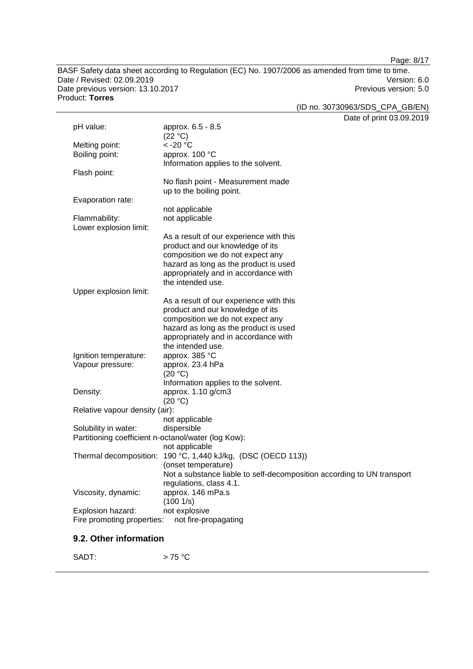Page: 8/17

BASF Safety data sheet according to Regulation (EC) No. 1907/2006 as amended from time to time. Date / Revised: 02.09.2019<br>
Date previous version: 13.10.2017<br>
Date previous version: 13.10.2017 Date previous version: 13.10.2017 Product: **Torres**

(ID no. 30730963/SDS\_CPA\_GB/EN)

Date of print 03.09.2019

|                                                     |                                                                        | Dale of print 05.09.2 |
|-----------------------------------------------------|------------------------------------------------------------------------|-----------------------|
| pH value:                                           | approx. 6.5 - 8.5                                                      |                       |
|                                                     | (22 °C)                                                                |                       |
| Melting point:                                      | $<$ -20 $^{\circ}$ C                                                   |                       |
| Boiling point:                                      | approx. 100 °C                                                         |                       |
|                                                     | Information applies to the solvent.                                    |                       |
| Flash point:                                        |                                                                        |                       |
|                                                     | No flash point - Measurement made                                      |                       |
|                                                     | up to the boiling point.                                               |                       |
| Evaporation rate:                                   |                                                                        |                       |
|                                                     | not applicable                                                         |                       |
| Flammability:                                       | not applicable                                                         |                       |
| Lower explosion limit:                              |                                                                        |                       |
|                                                     | As a result of our experience with this                                |                       |
|                                                     | product and our knowledge of its                                       |                       |
|                                                     | composition we do not expect any                                       |                       |
|                                                     | hazard as long as the product is used                                  |                       |
|                                                     | appropriately and in accordance with                                   |                       |
|                                                     | the intended use.                                                      |                       |
| Upper explosion limit:                              |                                                                        |                       |
|                                                     | As a result of our experience with this                                |                       |
|                                                     | product and our knowledge of its                                       |                       |
|                                                     | composition we do not expect any                                       |                       |
|                                                     | hazard as long as the product is used                                  |                       |
|                                                     | appropriately and in accordance with                                   |                       |
|                                                     | the intended use.                                                      |                       |
| Ignition temperature:                               | approx. 385 °C                                                         |                       |
| Vapour pressure:                                    | approx. 23.4 hPa                                                       |                       |
|                                                     | (20 °C)                                                                |                       |
|                                                     | Information applies to the solvent.                                    |                       |
| Density:                                            | approx. 1.10 g/cm3<br>(20 °C)                                          |                       |
| Relative vapour density (air):                      |                                                                        |                       |
|                                                     | not applicable                                                         |                       |
| Solubility in water:                                | dispersible                                                            |                       |
| Partitioning coefficient n-octanol/water (log Kow): |                                                                        |                       |
|                                                     | not applicable                                                         |                       |
|                                                     | Thermal decomposition: 190 °C, 1,440 kJ/kg, (DSC (OECD 113))           |                       |
|                                                     | (onset temperature)                                                    |                       |
|                                                     | Not a substance liable to self-decomposition according to UN transport |                       |
|                                                     | regulations, class 4.1.                                                |                       |
| Viscosity, dynamic:                                 | approx. 146 mPa.s                                                      |                       |
|                                                     | (1001/s)                                                               |                       |
| Explosion hazard:                                   | not explosive                                                          |                       |
| Fire promoting properties:                          | not fire-propagating                                                   |                       |
|                                                     |                                                                        |                       |
|                                                     |                                                                        |                       |

# **9.2. Other information**

SADT:  $> 75 °C$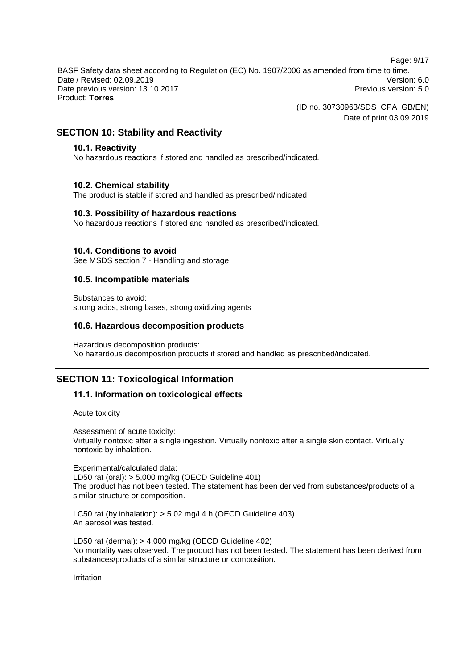Page: 9/17

BASF Safety data sheet according to Regulation (EC) No. 1907/2006 as amended from time to time. Date / Revised: 02.09.2019 Version: 6.0 Date previous version: 13.10.2017 **Previous version: 5.0 Previous version: 5.0** Product: **Torres**

(ID no. 30730963/SDS\_CPA\_GB/EN)

Date of print 03.09.2019

# **SECTION 10: Stability and Reactivity**

### **10.1. Reactivity**

No hazardous reactions if stored and handled as prescribed/indicated.

# **10.2. Chemical stability**

The product is stable if stored and handled as prescribed/indicated.

### **10.3. Possibility of hazardous reactions**

No hazardous reactions if stored and handled as prescribed/indicated.

### **10.4. Conditions to avoid**

See MSDS section 7 - Handling and storage.

# **10.5. Incompatible materials**

Substances to avoid: strong acids, strong bases, strong oxidizing agents

### **10.6. Hazardous decomposition products**

Hazardous decomposition products: No hazardous decomposition products if stored and handled as prescribed/indicated.

# **SECTION 11: Toxicological Information**

# **11.1. Information on toxicological effects**

#### Acute toxicity

Assessment of acute toxicity: Virtually nontoxic after a single ingestion. Virtually nontoxic after a single skin contact. Virtually nontoxic by inhalation.

Experimental/calculated data: LD50 rat (oral): > 5,000 mg/kg (OECD Guideline 401) The product has not been tested. The statement has been derived from substances/products of a similar structure or composition.

LC50 rat (by inhalation): > 5.02 mg/l 4 h (OECD Guideline 403) An aerosol was tested.

LD50 rat (dermal): > 4,000 mg/kg (OECD Guideline 402) No mortality was observed. The product has not been tested. The statement has been derived from substances/products of a similar structure or composition.

#### Irritation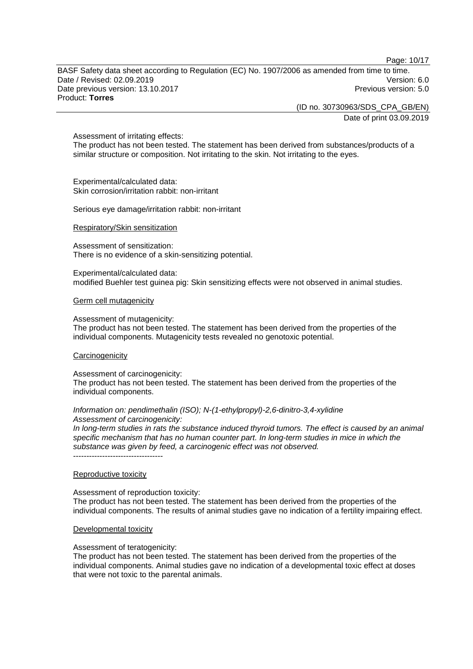Page: 10/17

BASF Safety data sheet according to Regulation (EC) No. 1907/2006 as amended from time to time. Date / Revised: 02.09.2019 Version: 6.0 Date previous version: 13.10.2017 **Previous version: 5.0 Previous version: 5.0** Product: **Torres**

> (ID no. 30730963/SDS\_CPA\_GB/EN) Date of print 03.09.2019

#### Assessment of irritating effects:

The product has not been tested. The statement has been derived from substances/products of a similar structure or composition. Not irritating to the skin. Not irritating to the eyes.

Experimental/calculated data: Skin corrosion/irritation rabbit: non-irritant

Serious eye damage/irritation rabbit: non-irritant

#### Respiratory/Skin sensitization

Assessment of sensitization: There is no evidence of a skin-sensitizing potential.

Experimental/calculated data: modified Buehler test guinea pig: Skin sensitizing effects were not observed in animal studies.

#### Germ cell mutagenicity

Assessment of mutagenicity:

The product has not been tested. The statement has been derived from the properties of the individual components. Mutagenicity tests revealed no genotoxic potential.

#### **Carcinogenicity**

Assessment of carcinogenicity:

The product has not been tested. The statement has been derived from the properties of the individual components.

#### *Information on: pendimethalin (ISO); N-(1-ethylpropyl)-2,6-dinitro-3,4-xylidine Assessment of carcinogenicity:*

*In long-term studies in rats the substance induced thyroid tumors. The effect is caused by an animal specific mechanism that has no human counter part. In long-term studies in mice in which the substance was given by feed, a carcinogenic effect was not observed.*

----------------------------------

#### Reproductive toxicity

Assessment of reproduction toxicity: The product has not been tested. The statement has been derived from the properties of the individual components. The results of animal studies gave no indication of a fertility impairing effect.

#### Developmental toxicity

Assessment of teratogenicity:

The product has not been tested. The statement has been derived from the properties of the individual components. Animal studies gave no indication of a developmental toxic effect at doses that were not toxic to the parental animals.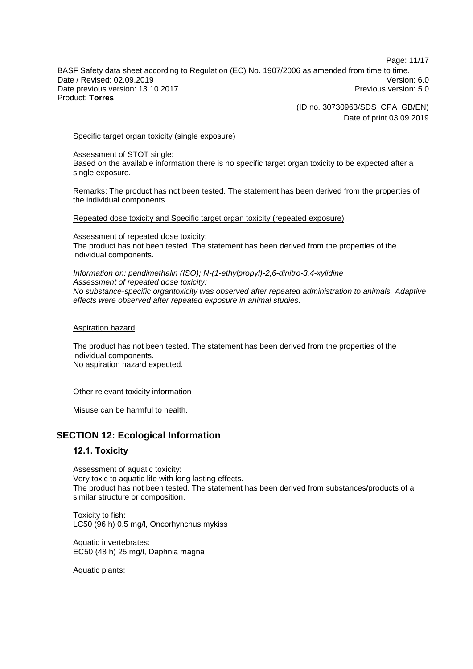Page: 11/17

BASF Safety data sheet according to Regulation (EC) No. 1907/2006 as amended from time to time. Date / Revised: 02.09.2019 Version: 6.0 Date previous version: 13.10.2017 **Previous version: 5.0 Previous version: 5.0** Product: **Torres**

(ID no. 30730963/SDS\_CPA\_GB/EN)

Date of print 03.09.2019

Specific target organ toxicity (single exposure)

Assessment of STOT single: Based on the available information there is no specific target organ toxicity to be expected after a single exposure.

Remarks: The product has not been tested. The statement has been derived from the properties of the individual components.

Repeated dose toxicity and Specific target organ toxicity (repeated exposure)

Assessment of repeated dose toxicity: The product has not been tested. The statement has been derived from the properties of the individual components.

*Information on: pendimethalin (ISO); N-(1-ethylpropyl)-2,6-dinitro-3,4-xylidine Assessment of repeated dose toxicity: No substance-specific organtoxicity was observed after repeated administration to animals. Adaptive effects were observed after repeated exposure in animal studies.* ----------------------------------

Aspiration hazard

The product has not been tested. The statement has been derived from the properties of the individual components. No aspiration hazard expected.

Other relevant toxicity information

Misuse can be harmful to health.

# **SECTION 12: Ecological Information**

# **12.1. Toxicity**

Assessment of aquatic toxicity: Very toxic to aquatic life with long lasting effects. The product has not been tested. The statement has been derived from substances/products of a similar structure or composition.

Toxicity to fish: LC50 (96 h) 0.5 mg/l, Oncorhynchus mykiss

Aquatic invertebrates: EC50 (48 h) 25 mg/l, Daphnia magna

Aquatic plants: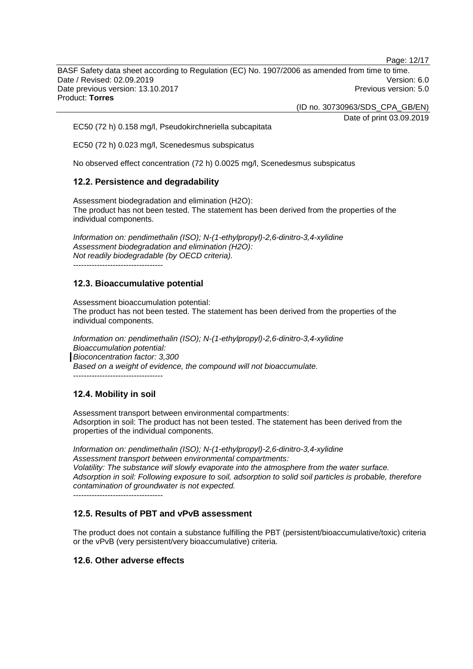Page: 12/17

BASF Safety data sheet according to Regulation (EC) No. 1907/2006 as amended from time to time. Date / Revised: 02.09.2019 Version: 6.0 Date previous version: 13.10.2017 **Previous version: 5.0 Previous version: 5.0** Product: **Torres**

(ID no. 30730963/SDS\_CPA\_GB/EN)

Date of print 03.09.2019

EC50 (72 h) 0.158 mg/l, Pseudokirchneriella subcapitata

EC50 (72 h) 0.023 mg/l, Scenedesmus subspicatus

No observed effect concentration (72 h) 0.0025 mg/l, Scenedesmus subspicatus

# **12.2. Persistence and degradability**

Assessment biodegradation and elimination (H2O): The product has not been tested. The statement has been derived from the properties of the individual components.

*Information on: pendimethalin (ISO); N-(1-ethylpropyl)-2,6-dinitro-3,4-xylidine Assessment biodegradation and elimination (H2O): Not readily biodegradable (by OECD criteria).* ----------------------------------

# **12.3. Bioaccumulative potential**

Assessment bioaccumulation potential: The product has not been tested. The statement has been derived from the properties of the individual components.

*Information on: pendimethalin (ISO); N-(1-ethylpropyl)-2,6-dinitro-3,4-xylidine Bioaccumulation potential: Bioconcentration factor: 3,300 Based on a weight of evidence, the compound will not bioaccumulate.*

----------------------------------

# **12.4. Mobility in soil**

Assessment transport between environmental compartments: Adsorption in soil: The product has not been tested. The statement has been derived from the properties of the individual components.

*Information on: pendimethalin (ISO); N-(1-ethylpropyl)-2,6-dinitro-3,4-xylidine Assessment transport between environmental compartments: Volatility: The substance will slowly evaporate into the atmosphere from the water surface. Adsorption in soil: Following exposure to soil, adsorption to solid soil particles is probable, therefore contamination of groundwater is not expected.* ----------------------------------

**12.5. Results of PBT and vPvB assessment**

The product does not contain a substance fulfilling the PBT (persistent/bioaccumulative/toxic) criteria or the vPvB (very persistent/very bioaccumulative) criteria.

# **12.6. Other adverse effects**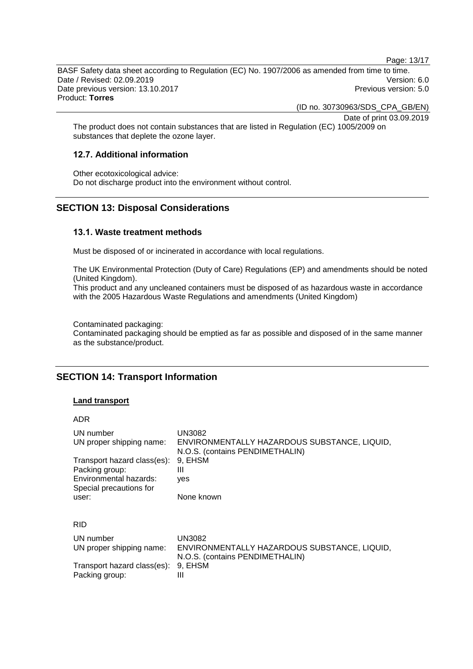Page: 13/17

BASF Safety data sheet according to Regulation (EC) No. 1907/2006 as amended from time to time. Date / Revised: 02.09.2019 Version: 6.0 Date previous version: 13.10.2017 **Previous version: 5.0 Previous version: 5.0** Product: **Torres**

(ID no. 30730963/SDS\_CPA\_GB/EN)

Date of print 03.09.2019

The product does not contain substances that are listed in Regulation (EC) 1005/2009 on substances that deplete the ozone layer.

# **12.7. Additional information**

Other ecotoxicological advice: Do not discharge product into the environment without control.

# **SECTION 13: Disposal Considerations**

### **13.1. Waste treatment methods**

Must be disposed of or incinerated in accordance with local regulations.

The UK Environmental Protection (Duty of Care) Regulations (EP) and amendments should be noted (United Kingdom).

This product and any uncleaned containers must be disposed of as hazardous waste in accordance with the 2005 Hazardous Waste Regulations and amendments (United Kingdom)

Contaminated packaging:

Contaminated packaging should be emptied as far as possible and disposed of in the same manner as the substance/product.

# **SECTION 14: Transport Information**

#### **Land transport**

ADR

| UN number                             | <b>UN3082</b>                                                                                    |
|---------------------------------------|--------------------------------------------------------------------------------------------------|
| UN proper shipping name:              | ENVIRONMENTALLY HAZARDOUS SUBSTANCE, LIQUID,                                                     |
| Transport hazard class(es):           | N.O.S. (contains PENDIMETHALIN)                                                                  |
| Packing group:                        | 9. EHSM                                                                                          |
| Environmental hazards:                | Ш                                                                                                |
| Special precautions for               | yes                                                                                              |
| user:                                 | None known                                                                                       |
| <b>RID</b>                            |                                                                                                  |
| UN number<br>UN proper shipping name: | <b>UN3082</b><br>ENVIRONMENTALLY HAZARDOUS SUBSTANCE, LIQUID,<br>N.O.S. (contains PENDIMETHALIN) |
| Transport hazard class(es):           | 9, EHSM                                                                                          |
| Packing group:                        | Ш                                                                                                |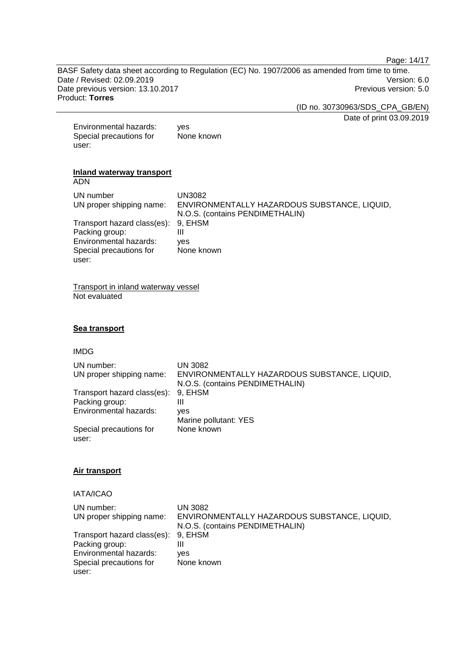Page: 14/17

BASF Safety data sheet according to Regulation (EC) No. 1907/2006 as amended from time to time. Date / Revised: 02.09.2019<br>
Date previous version: 13.10.2017<br>
Previous version: 5.0 Date previous version: 13.10.2017 Product: **Torres**

(ID no. 30730963/SDS\_CPA\_GB/EN)

Date of print 03.09.2019

| Environmental hazards:  | yes        |
|-------------------------|------------|
| Special precautions for | None known |
| user:                   |            |

#### **Inland waterway transport** ADN

| UN number<br>UN proper shipping name: | UN3082<br>ENVIRONMENTALLY HAZARDOUS SUBSTANCE, LIQUID,<br>N.O.S. (contains PENDIMETHALIN) |
|---------------------------------------|-------------------------------------------------------------------------------------------|
| Transport hazard class(es): 9, EHSM   |                                                                                           |
| Packing group:                        | Ш                                                                                         |
| Environmental hazards:                | ves                                                                                       |
| Special precautions for               | None known                                                                                |
| user:                                 |                                                                                           |

Transport in inland waterway vessel Not evaluated

# **Sea transport**

#### IMDG

| UN number:<br>UN proper shipping name: | UN 3082<br>ENVIRONMENTALLY HAZARDOUS SUBSTANCE, LIQUID,<br>N.O.S. (contains PENDIMETHALIN) |
|----------------------------------------|--------------------------------------------------------------------------------------------|
| Transport hazard class(es):            | 9. EHSM                                                                                    |
| Packing group:                         | Ш                                                                                          |
| Environmental hazards:                 | ves                                                                                        |
|                                        | Marine pollutant: YES                                                                      |
| Special precautions for<br>user:       | None known                                                                                 |

# **Air transport**

# IATA/ICAO

| UN number:                          | <b>UN 3082</b>                               |
|-------------------------------------|----------------------------------------------|
| UN proper shipping name:            | ENVIRONMENTALLY HAZARDOUS SUBSTANCE, LIQUID, |
|                                     | N.O.S. (contains PENDIMETHALIN)              |
| Transport hazard class(es): 9, EHSM |                                              |
| Packing group:                      |                                              |
| Environmental hazards:              | ves                                          |
| Special precautions for             | None known                                   |
| user:                               |                                              |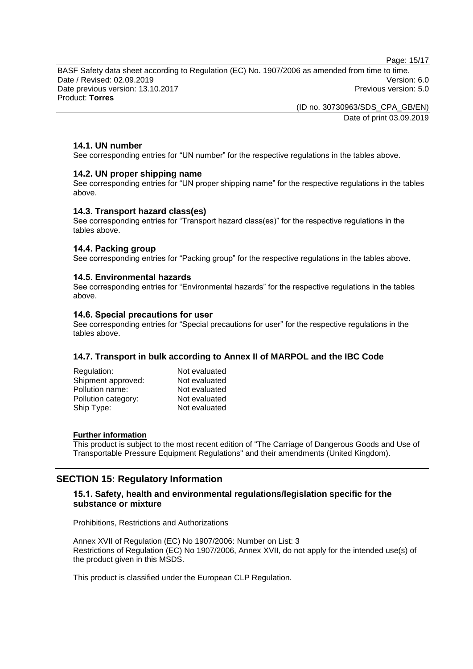Page: 15/17

BASF Safety data sheet according to Regulation (EC) No. 1907/2006 as amended from time to time. Date / Revised: 02.09.2019 Version: 6.0 Date previous version: 13.10.2017 **Previous version: 5.0 Previous version: 5.0** Product: **Torres**

> (ID no. 30730963/SDS\_CPA\_GB/EN) Date of print 03.09.2019

### **14.1. UN number**

See corresponding entries for "UN number" for the respective regulations in the tables above.

#### **14.2. UN proper shipping name**

See corresponding entries for "UN proper shipping name" for the respective regulations in the tables above.

#### **14.3. Transport hazard class(es)**

See corresponding entries for "Transport hazard class(es)" for the respective regulations in the tables above.

#### **14.4. Packing group**

See corresponding entries for "Packing group" for the respective regulations in the tables above.

#### **14.5. Environmental hazards**

See corresponding entries for "Environmental hazards" for the respective regulations in the tables above.

#### **14.6. Special precautions for user**

See corresponding entries for "Special precautions for user" for the respective regulations in the tables above.

#### **14.7. Transport in bulk according to Annex II of MARPOL and the IBC Code**

| Regulation:         | Not evaluated |
|---------------------|---------------|
| Shipment approved:  | Not evaluated |
| Pollution name:     | Not evaluated |
| Pollution category: | Not evaluated |
| Ship Type:          | Not evaluated |
|                     |               |

#### **Further information**

This product is subject to the most recent edition of "The Carriage of Dangerous Goods and Use of Transportable Pressure Equipment Regulations" and their amendments (United Kingdom).

# **SECTION 15: Regulatory Information**

# **15.1. Safety, health and environmental regulations/legislation specific for the substance or mixture**

Prohibitions, Restrictions and Authorizations

Annex XVII of Regulation (EC) No 1907/2006: Number on List: 3 Restrictions of Regulation (EC) No 1907/2006, Annex XVII, do not apply for the intended use(s) of the product given in this MSDS.

This product is classified under the European CLP Regulation.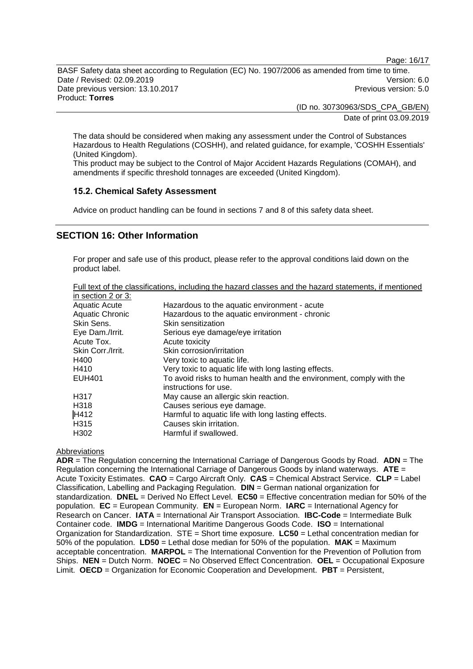Page: 16/17

BASF Safety data sheet according to Regulation (EC) No. 1907/2006 as amended from time to time. Date / Revised: 02.09.2019 Version: 6.0 Date previous version: 13.10.2017 **Previous version: 5.0 Previous version: 5.0** Product: **Torres**

> (ID no. 30730963/SDS\_CPA\_GB/EN) Date of print 03.09.2019

The data should be considered when making any assessment under the Control of Substances Hazardous to Health Regulations (COSHH), and related guidance, for example, 'COSHH Essentials' (United Kingdom).

This product may be subject to the Control of Major Accident Hazards Regulations (COMAH), and amendments if specific threshold tonnages are exceeded (United Kingdom).

# **15.2. Chemical Safety Assessment**

Advice on product handling can be found in sections 7 and 8 of this safety data sheet.

# **SECTION 16: Other Information**

For proper and safe use of this product, please refer to the approval conditions laid down on the product label.

| Full text of the classifications, including the hazard classes and the hazard statements, if mentioned |  |
|--------------------------------------------------------------------------------------------------------|--|
|                                                                                                        |  |

| in section 2 or 3:     |                                                                                              |
|------------------------|----------------------------------------------------------------------------------------------|
| <b>Aquatic Acute</b>   | Hazardous to the aquatic environment - acute                                                 |
| <b>Aquatic Chronic</b> | Hazardous to the aquatic environment - chronic                                               |
| Skin Sens.             | Skin sensitization                                                                           |
| Eye Dam./Irrit.        | Serious eye damage/eye irritation                                                            |
| Acute Tox.             | Acute toxicity                                                                               |
| Skin Corr./Irrit.      | Skin corrosion/irritation                                                                    |
| H400                   | Very toxic to aquatic life.                                                                  |
| H410                   | Very toxic to aquatic life with long lasting effects.                                        |
| <b>EUH401</b>          | To avoid risks to human health and the environment, comply with the<br>instructions for use. |
| H317                   | May cause an allergic skin reaction.                                                         |
| H318                   | Causes serious eye damage.                                                                   |
| H412                   | Harmful to aquatic life with long lasting effects.                                           |
| H315                   | Causes skin irritation.                                                                      |
| H <sub>302</sub>       | Harmful if swallowed.                                                                        |

#### Abbreviations

**ADR** = The Regulation concerning the International Carriage of Dangerous Goods by Road. **ADN** = The Regulation concerning the International Carriage of Dangerous Goods by inland waterways. **ATE** = Acute Toxicity Estimates. **CAO** = Cargo Aircraft Only. **CAS** = Chemical Abstract Service. **CLP** = Label Classification, Labelling and Packaging Regulation. **DIN** = German national organization for standardization. **DNEL** = Derived No Effect Level. **EC50** = Effective concentration median for 50% of the population. **EC** = European Community. **EN** = European Norm. **IARC** = International Agency for Research on Cancer. **IATA** = International Air Transport Association. **IBC-Code** = Intermediate Bulk Container code. **IMDG** = International Maritime Dangerous Goods Code. **ISO** = International Organization for Standardization. STE = Short time exposure. **LC50** = Lethal concentration median for 50% of the population. **LD50** = Lethal dose median for 50% of the population. **MAK** = Maximum acceptable concentration. **MARPOL** = The International Convention for the Prevention of Pollution from Ships. **NEN** = Dutch Norm. **NOEC** = No Observed Effect Concentration. **OEL** = Occupational Exposure Limit. **OECD** = Organization for Economic Cooperation and Development. **PBT** = Persistent,